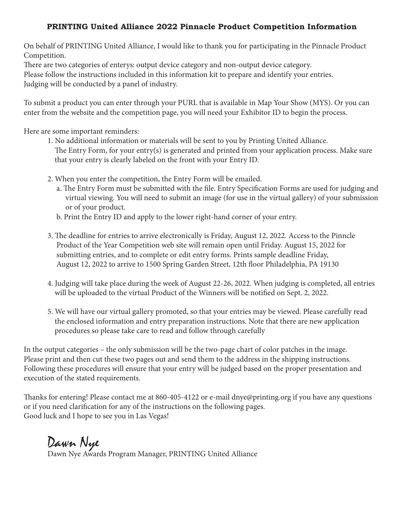### **PRINTING United Alliance 2022 Pinnacle Product Competition Information**

On behalf of PRINTING United Alliance, I would like to thank you for participating in the Pinnacle Product Competition.

There are two categories of enterys: output device category and non-output device category.

Please follow the instructions included in this information kit to prepare and identify your entries. Judging will be conducted by a panel of industry.

To submit a product you can enter through your PURL that is available in Map Your Show (MYS). Or you can enter from the website and the competition page, you will need your Exhibitor ID to begin the process.

Here are some important reminders:

- 1. No additional information or materials will be sent to you by Printing United Alliance. The Entry Form, for your entry(s) is generated and printed from your application process. Make sure that your entry is clearly labeled on the front with your Entry ID.
- 2. When you enter the competition, the Entry Form will be emailed.
	- a. The Entry Form must be submitted with the file. Entry Specification Forms are used for judging and virtual viewing. You will need to submit an image (for use in the virtual gallery) of your submission or of your product.
	- b. Print the Entry ID and apply to the lower right-hand corner of your entry.
- 3. The deadline for entries to arrive electronically is Friday, August 12, 2022. Access to the Pinncle Product of the Year Competition web site will remain open until Friday. August 15, 2022 for submitting entries, and to complete or edit entry forms. Prints sample deadline Friday, August 12, 2022 to arrive to 1500 Spring Garden Street, 12th floor Philadelphia, PA 19130
- 4. Judging will take place during the week of August 22-26, 2022. When judging is completed, all entries will be uploaded to the virtual Product of the Winners will be notified on Sept. 2, 2022.
- 5. We will have our virtual gallery promoted, so that your entries may be viewed. Please carefully read the enclosed information and entry preparation instructions. Note that there are new application procedures so please take care to read and follow through carefully

In the output categories – the only submission will be the two-page chart of color patches in the image. Please print and then cut these two pages out and send them to the address in the shipping instructions. Following these procedures will ensure that your entry will be judged based on the proper presentation and execution of the stated requirements.

Thanks for entering! Please contact me at 860-405-4122 or e-mail dnye@printing.org if you have any questions or if you need clarification for any of the instructions on the following pages. Good luck and I hope to see you in Las Vegas!

Dawn Nye

Dawn Nye Awards Program Manager, PRINTING United Alliance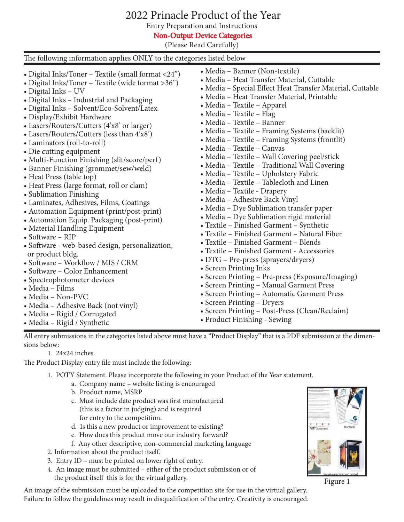# 2022 Prinacle Product of the Year

Entry Preparation and Instructions

Non-Output Device Categories

(Please Read Carefully)

| The following information applies ONLY to the categories listed below                                                                                                                                                                                                                                                                                                                                                                                                                                                                                                                                                                                                                                                                                                                                                                                                                                                                                                                                                                                                                                     |                                                                                                                                                                                                                                                                                                                                                                                                                                                                                                                                                                                                                                                                                                                                                                                                                                                                                                                                                                                                                                                                                                                                                                                                                                                     |
|-----------------------------------------------------------------------------------------------------------------------------------------------------------------------------------------------------------------------------------------------------------------------------------------------------------------------------------------------------------------------------------------------------------------------------------------------------------------------------------------------------------------------------------------------------------------------------------------------------------------------------------------------------------------------------------------------------------------------------------------------------------------------------------------------------------------------------------------------------------------------------------------------------------------------------------------------------------------------------------------------------------------------------------------------------------------------------------------------------------|-----------------------------------------------------------------------------------------------------------------------------------------------------------------------------------------------------------------------------------------------------------------------------------------------------------------------------------------------------------------------------------------------------------------------------------------------------------------------------------------------------------------------------------------------------------------------------------------------------------------------------------------------------------------------------------------------------------------------------------------------------------------------------------------------------------------------------------------------------------------------------------------------------------------------------------------------------------------------------------------------------------------------------------------------------------------------------------------------------------------------------------------------------------------------------------------------------------------------------------------------------|
| • Digital Inks/Toner - Textile (small format <24")<br>• Digital Inks/Toner - Textile (wide format >36")<br>• Digital Inks - UV<br>• Digital Inks - Industrial and Packaging<br>• Digital Inks - Solvent/Eco-Solvent/Latex<br>• Display/Exhibit Hardware<br>• Lasers/Routers/Cutters (4'x8' or larger)<br>• Lasers/Routers/Cutters (less than 4'x8')<br>• Laminators (roll-to-roll)<br>• Die cutting equipment<br>• Multi-Function Finishing (slit/score/perf)<br>• Banner Finishing (grommet/sew/weld)<br>• Heat Press (table top)<br>• Heat Press (large format, roll or clam)<br>• Sublimation Finishing<br>• Laminates, Adhesives, Films, Coatings<br>• Automation Equipment (print/post-print)<br>• Automation Equip. Packaging (post-print)<br>• Material Handling Equipment<br>• Software - RIP<br>· Software - web-based design, personalization,<br>or product bldg.<br>• Software - Workflow / MIS / CRM<br>• Software – Color Enhancement<br>• Spectrophotometer devices<br>$\bullet$ Media – Films<br>• Media - Non-PVC<br>• Media – Adhesive Back (not vinyl)<br>• Media - Rigid / Corrugated | • Media - Banner (Non-textile)<br>• Media - Heat Transfer Material, Cuttable<br>• Media - Special Effect Heat Transfer Material, Cuttable<br>• Media – Heat Transfer Material, Printable<br>• Media - Textile - Apparel<br>• Media – Textile – Flag<br>• Media - Textile - Banner<br>• Media – Textile – Framing Systems (backlit)<br>• Media - Textile - Framing Systems (frontlit)<br>• Media – Textile – Canvas<br>• Media - Textile - Wall Covering peel/stick<br>• Media - Textile - Traditional Wall Covering<br>• Media – Textile – Upholstery Fabric<br>• Media - Textile - Tablecloth and Linen<br>• Media - Textile - Drapery<br>• Media – Adhesive Back Vinyl<br>• Media - Dye Sublimation transfer paper<br>• Media - Dye Sublimation rigid material<br>• Textile - Finished Garment - Synthetic<br>• Textile - Finished Garment - Natural Fiber<br>• Textile – Finished Garment – Blends<br>• Textile - Finished Garment - Accessories<br>• DTG - Pre-press (sprayers/dryers)<br>• Screen Printing Inks<br>• Screen Printing - Pre-press (Exposure/Imaging)<br>• Screen Printing - Manual Garment Press<br>• Screen Printing - Automatic Garment Press<br>• Screen Printing - Dryers<br>• Screen Printing - Post-Press (Clean/Reclaim) |
| • Media – Rigid / Synthetic                                                                                                                                                                                                                                                                                                                                                                                                                                                                                                                                                                                                                                                                                                                                                                                                                                                                                                                                                                                                                                                                               | • Product Finishing - Sewing                                                                                                                                                                                                                                                                                                                                                                                                                                                                                                                                                                                                                                                                                                                                                                                                                                                                                                                                                                                                                                                                                                                                                                                                                        |

All entry submissions in the categories listed above must have a "Product Display" that is a PDF submission at the dimensions below:

1. 24x24 inches.

The Product Display entry file must include the following:

- 1. POTY Statement. Please incorporate the following in your Product of the Year statement.
	- a. Company name website listing is encouraged
	- b. Product name, MSRP
	- c. Must include date product was first manufactured (this is a factor in judging) and is required for entry to the competition.
	- d. Is this a new product or improvement to existing?
	- e. How does this product move our industry forward?
	- f. Any other descriptive, non-commercial marketing language
- 2. Information about the product itself.
- 3. Entry ID must be printed on lower right of entry.
- 4. An image must be submitted either of the product submission or of the product itself this is for the virtual gallery.

An image of the submission must be uploaded to the competition site for use in the virtual gallery. Failure to follow the guidelines may result in disqualification of the entry. Creativity is encouraged.



Figure 1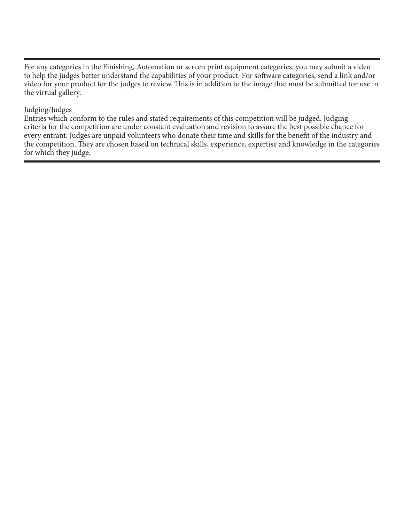For any categories in the Finishing, Automation or screen print equipment categories, you may submit a video to help the judges better understand the capabilities of your product. For software categories, send a link and/or video for your product for the judges to review. This is in addition to the image that must be submitted for use in the virtual gallery.

#### Judging/Judges

Entries which conform to the rules and stated requirements of this competition will be judged. Judging criteria for the competition are under constant evaluation and revision to assure the best possible chance for every entrant. Judges are unpaid volunteers who donate their time and skills for the benefit of the industry and the competition. They are chosen based on technical skills, experience, expertise and knowledge in the categories for which they judge.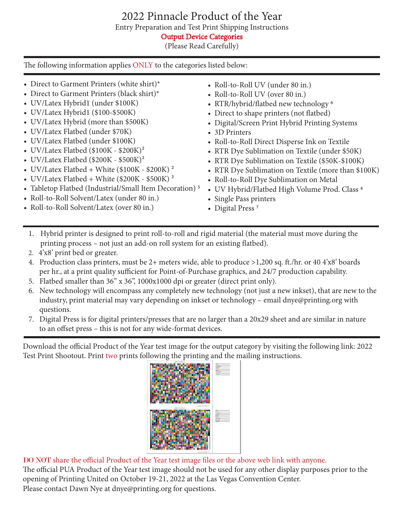# 2022 Pinnacle Product of the Year

Entry Preparation and Test Print Shipping Instructions

Output Device Categories

(Please Read Carefully)

The following information applies ONLY to the categories listed below:

- Direct to Garment Printers (white shirt)\*
- Direct to Garment Printers (black shirt)\*
- UV/Latex Hybrid1 (under \$100K)
- UV/Latex Hybrid1 (\$100-\$500K)
- UV/Latex Hybrid (more than \$500K)
- UV/Latex Flatbed (under \$70K)
- UV/Latex Flatbed (under \$100K)
- UV/Latex Flatbed  $(\$100K \$200K)^2$
- UV/Latex Flatbed (\$200K \$500K)<sup>2</sup>
- UV/Latex Flatbed + White  $(\$100K \$200K)^2$
- UV/Latex Flatbed + White (\$200K \$500K)<sup>2</sup>
- Tabletop Flatbed (Industrial/Small Item Decoration) 5
- Roll-to-Roll Solvent/Latex (under 80 in.)
- Roll-to-Roll Solvent/Latex (over 80 in.)
- Roll-to-Roll UV (under 80 in.)
- Roll-to-Roll UV (over 80 in.)
- RTR/hybrid/flatbed new technology 6
- Direct to shape printers (not flatbed)
- Digital/Screen Print Hybrid Printing Systems
- 3D Printers
- Roll-to-Roll Direct Disperse Ink on Textile
- RTR Dye Sublimation on Textile (under \$50K)
- RTR Dye Sublimation on Textile (\$50K-\$100K)
- RTR Dye Sublimation on Textile (more than \$100K)
- Roll-to-Roll Dye Sublimation on Metal
- UV Hybrid/Flatbed High Volume Prod. Class 4
- Single Pass printers
- Digital Press<sup>7</sup>
- 1. Hybrid printer is designed to print roll-to-roll and rigid material (the material must move during the printing process – not just an add-on roll system for an existing flatbed).
- 2. 4'x8' print bed or greater.
- 4. Production class printers, must be 2+ meters wide, able to produce >1,200 sq. ft./hr. or 40 4'x8' boards per hr., at a print quality sufficient for Point-of-Purchase graphics, and 24/7 production capability.
- 5. Flatbed smaller than 36" x 36", 1000x1000 dpi or greater (direct print only).
- 6. New technology will encompass any completely new technology (not just a new inkset), that are new to the industry, print material may vary depending on inkset or technology – email dnye@printing.org with questions.
- 7. Digital Press is for digital printers/presses that are no larger than a 20x29 sheet and are similar in nature to an offset press – this is not for any wide-format devices.

Download the official Product of the Year test image for the output category by visiting the following link: 2022 Test Print Shootout. Print two prints following the printing and the mailing instructions.



DO NOT share the official Product of the Year test image files or the above web link with anyone.

The official PUA Product of the Year test image should not be used for any other display purposes prior to the opening of Printing United on October 19-21, 2022 at the Las Vegas Convention Center.

Please contact Dawn Nye at dnye@printing.org for questions.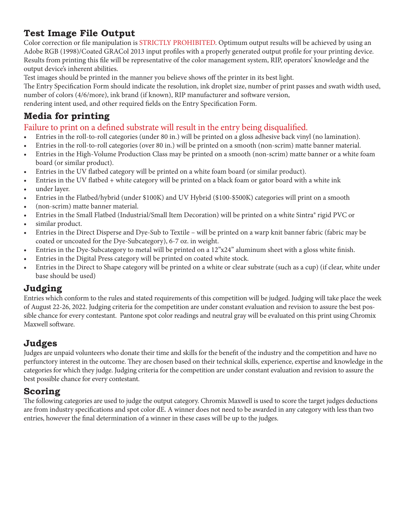# **Test Image File Output**

Color correction or file manipulation is STRICTLY PROHIBITED. Optimum output results will be achieved by using an Adobe RGB (1998)/Coated GRACol 2013 input profiles with a properly generated output profile for your printing device. Results from printing this file will be representative of the color management system, RIP, operators' knowledge and the output device's inherent abilities.

Test images should be printed in the manner you believe shows off the printer in its best light.

The Entry Specification Form should indicate the resolution, ink droplet size, number of print passes and swath width used, number of colors (4/6/more), ink brand (if known), RIP manufacturer and software version,

rendering intent used, and other required fields on the Entry Specification Form.

## **Media for printing**

### Failure to print on a defined substrate will result in the entry being disqualified.

- Entries in the roll-to-roll categories (under 80 in.) will be printed on a gloss adhesive back vinyl (no lamination).
- Entries in the roll-to-roll categories (over 80 in.) will be printed on a smooth (non-scrim) matte banner material.
- Entries in the High-Volume Production Class may be printed on a smooth (non-scrim) matte banner or a white foam board (or similar product).
- Entries in the UV flatbed category will be printed on a white foam board (or similar product).
- Entries in the UV flatbed + white category will be printed on a black foam or gator board with a white ink
- under layer.
- Entries in the Flatbed/hybrid (under \$100K) and UV Hybrid (\$100-\$500K) categories will print on a smooth
- (non-scrim) matte banner material.
- Entries in the Small Flatbed (Industrial/Small Item Decoration) will be printed on a white Sintra® rigid PVC or
- similar product.
- Entries in the Direct Disperse and Dye-Sub to Textile will be printed on a warp knit banner fabric (fabric may be coated or uncoated for the Dye-Subcategory), 6-7 oz. in weight.
- Entries in the Dye-Subcategory to metal will be printed on a 12"x24" aluminum sheet with a gloss white finish.
- Entries in the Digital Press category will be printed on coated white stock.
- Entries in the Direct to Shape category will be printed on a white or clear substrate (such as a cup) (if clear, white under base should be used)

## **Judging**

Entries which conform to the rules and stated requirements of this competition will be judged. Judging will take place the week of August 22-26, 2022. Judging criteria for the competition are under constant evaluation and revision to assure the best possible chance for every contestant. Pantone spot color readings and neutral gray will be evaluated on this print using Chromix Maxwell software.

# **Judges**

Judges are unpaid volunteers who donate their time and skills for the benefit of the industry and the competition and have no perfunctory interest in the outcome. They are chosen based on their technical skills, experience, expertise and knowledge in the categories for which they judge. Judging criteria for the competition are under constant evaluation and revision to assure the best possible chance for every contestant.

### **Scoring**

The following categories are used to judge the output category. Chromix Maxwell is used to score the target judges deductions are from industry specifications and spot color dE. A winner does not need to be awarded in any category with less than two entries, however the final determination of a winner in these cases will be up to the judges.